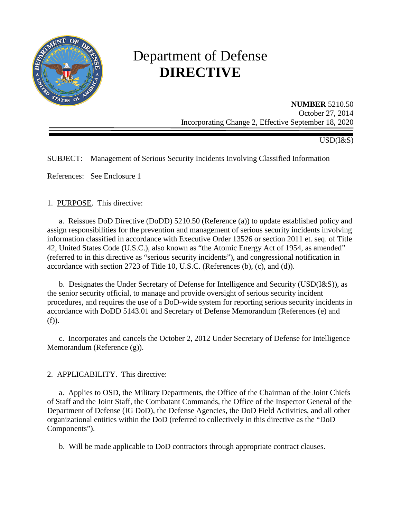

# Department of Defense **DIRECTIVE**

**NUMBER** 5210.50 October 27, 2014 Incorporating Change 2, Effective September 18, 2020

USD(I&S)

# SUBJECT: Management of Serious Security Incidents Involving Classified Information

References: See Enclosure 1

## 1. PURPOSE. This directive:

a. Reissues DoD Directive (DoDD) 5210.50 (Reference (a)) to update established policy and assign responsibilities for the prevention and management of serious security incidents involving information classified in accordance with Executive Order 13526 or section 2011 et. seq. of Title 42, United States Code (U.S.C.), also known as "the Atomic Energy Act of 1954, as amended" (referred to in this directive as "serious security incidents"), and congressional notification in accordance with section 2723 of Title 10, U.S.C. (References (b), (c), and (d)).

 b. Designates the Under Secretary of Defense for Intelligence and Security (USD(I&S)), as the senior security official, to manage and provide oversight of serious security incident procedures, and requires the use of a DoD-wide system for reporting serious security incidents in accordance with DoDD 5143.01 and Secretary of Defense Memorandum (References (e) and (f)).

 c. Incorporates and cancels the October 2, 2012 Under Secretary of Defense for Intelligence Memorandum (Reference (g)).

## 2. APPLICABILITY. This directive:

a. Applies to OSD, the Military Departments, the Office of the Chairman of the Joint Chiefs of Staff and the Joint Staff, the Combatant Commands, the Office of the Inspector General of the Department of Defense (IG DoD), the Defense Agencies, the DoD Field Activities, and all other organizational entities within the DoD (referred to collectively in this directive as the "DoD Components").

b. Will be made applicable to DoD contractors through appropriate contract clauses.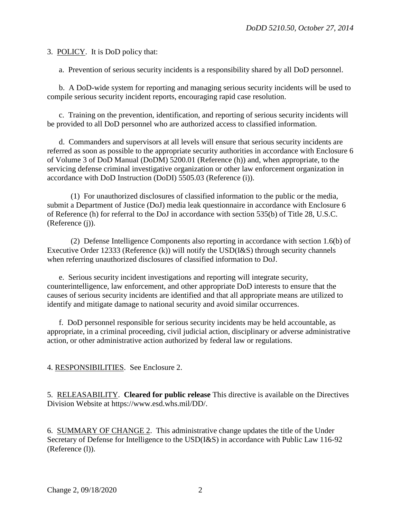3. POLICY. It is DoD policy that:

a. Prevention of serious security incidents is a responsibility shared by all DoD personnel.

 b. A DoD-wide system for reporting and managing serious security incidents will be used to compile serious security incident reports, encouraging rapid case resolution.

c. Training on the prevention, identification, and reporting of serious security incidents will be provided to all DoD personnel who are authorized access to classified information.

d. Commanders and supervisors at all levels will ensure that serious security incidents are referred as soon as possible to the appropriate security authorities in accordance with Enclosure 6 of Volume 3 of DoD Manual (DoDM) 5200.01 (Reference (h)) and, when appropriate, to the servicing defense criminal investigative organization or other law enforcement organization in accordance with DoD Instruction (DoDI) 5505.03 (Reference (i)).

(1) For unauthorized disclosures of classified information to the public or the media, submit a Department of Justice (DoJ) media leak questionnaire in accordance with Enclosure 6 of Reference (h) for referral to the DoJ in accordance with section 535(b) of Title 28, U.S.C. (Reference (j)).

(2) Defense Intelligence Components also reporting in accordance with section 1.6(b) of Executive Order 12333 (Reference (k)) will notify the USD(I&S) through security channels when referring unauthorized disclosures of classified information to DoJ.

 e. Serious security incident investigations and reporting will integrate security, counterintelligence, law enforcement, and other appropriate DoD interests to ensure that the causes of serious security incidents are identified and that all appropriate means are utilized to identify and mitigate damage to national security and avoid similar occurrences.

 f. DoD personnel responsible for serious security incidents may be held accountable, as appropriate, in a criminal proceeding, civil judicial action, disciplinary or adverse administrative action, or other administrative action authorized by federal law or regulations.

4. RESPONSIBILITIES. See Enclosure 2.

5. RELEASABILITY. **Cleared for public release** This directive is available on the Directives Division Website at [https://www.esd.whs.mil/DD/.](http://www.esd.whs.mil/DD/)

6. SUMMARY OF CHANGE 2. This administrative change updates the title of the Under Secretary of Defense for Intelligence to the USD(I&S) in accordance with Public Law 116-92 (Reference (l)).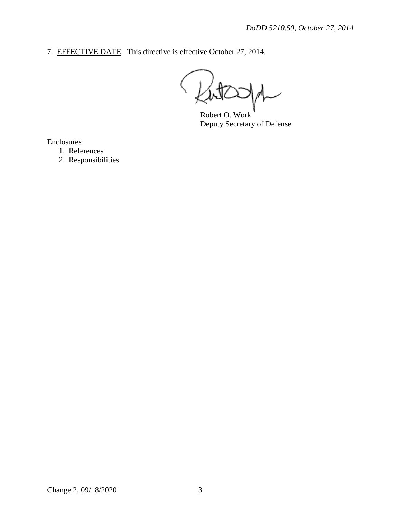7. EFFECTIVE DATE. This directive is effective October 27, 2014.

Robert O. Work Deputy Secretary of Defense

Enclosures

- 1. References
- 2. Responsibilities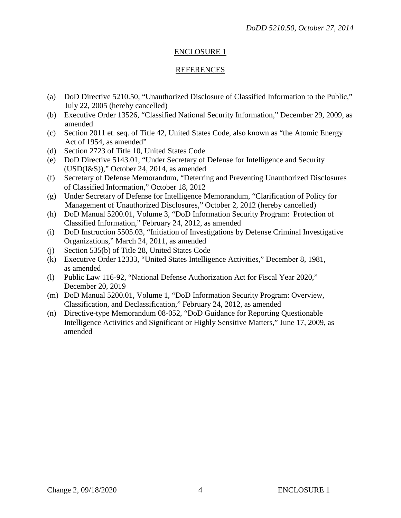## ENCLOSURE 1

#### REFERENCES

- (a) DoD Directive 5210.50, "Unauthorized Disclosure of Classified Information to the Public," July 22, 2005 (hereby cancelled)
- (b) Executive Order 13526, "Classified National Security Information," December 29, 2009, as amended
- (c) Section 2011 et. seq. of Title 42, United States Code, also known as "the Atomic Energy Act of 1954, as amended"
- (d) Section 2723 of Title 10, United States Code
- (e) DoD Directive 5143.01, "Under Secretary of Defense for Intelligence and Security (USD(I&S))," October 24, 2014, as amended
- (f) Secretary of Defense Memorandum, "Deterring and Preventing Unauthorized Disclosures of Classified Information," October 18, 2012
- (g) Under Secretary of Defense for Intelligence Memorandum, "Clarification of Policy for Management of Unauthorized Disclosures," October 2, 2012 (hereby cancelled)
- (h) DoD Manual 5200.01, Volume 3, "DoD Information Security Program: Protection of Classified Information," February 24, 2012, as amended
- (i) DoD Instruction 5505.03, "Initiation of Investigations by Defense Criminal Investigative Organizations," March 24, 2011, as amended
- (j) Section 535(b) of Title 28, United States Code
- (k) Executive Order 12333, "United States Intelligence Activities," December 8, 1981, as amended
- (l) Public Law 116-92, "National Defense Authorization Act for Fiscal Year 2020," December 20, 2019
- (m) DoD Manual 5200.01, Volume 1, "DoD Information Security Program: Overview, Classification, and Declassification," February 24, 2012, as amended
- (n) Directive-type Memorandum 08-052, "DoD Guidance for Reporting Questionable Intelligence Activities and Significant or Highly Sensitive Matters," June 17, 2009, as amended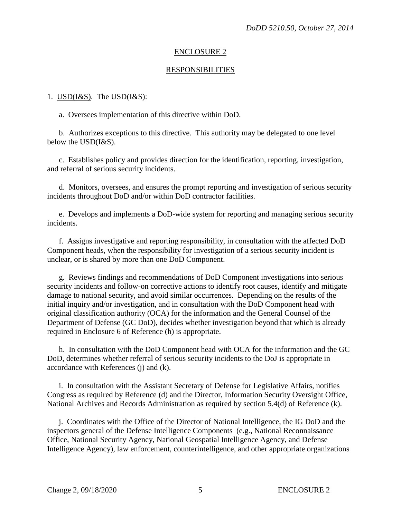## ENCLOSURE 2

#### **RESPONSIBILITIES**

#### 1.  $USD(I&S)$ . The  $USD(I&S)$ :</u>

a. Oversees implementation of this directive within DoD.

b. Authorizes exceptions to this directive. This authority may be delegated to one level below the USD(I&S).

c. Establishes policy and provides direction for the identification, reporting, investigation, and referral of serious security incidents.

d. Monitors, oversees, and ensures the prompt reporting and investigation of serious security incidents throughout DoD and/or within DoD contractor facilities.

e. Develops and implements a DoD-wide system for reporting and managing serious security incidents.

f. Assigns investigative and reporting responsibility, in consultation with the affected DoD Component heads, when the responsibility for investigation of a serious security incident is unclear, or is shared by more than one DoD Component.

g. Reviews findings and recommendations of DoD Component investigations into serious security incidents and follow-on corrective actions to identify root causes, identify and mitigate damage to national security, and avoid similar occurrences. Depending on the results of the initial inquiry and/or investigation, and in consultation with the DoD Component head with original classification authority (OCA) for the information and the General Counsel of the Department of Defense (GC DoD), decides whether investigation beyond that which is already required in Enclosure 6 of Reference (h) is appropriate.

h. In consultation with the DoD Component head with OCA for the information and the GC DoD, determines whether referral of serious security incidents to the DoJ is appropriate in accordance with References (j) and (k).

i. In consultation with the Assistant Secretary of Defense for Legislative Affairs, notifies Congress as required by Reference (d) and the Director, Information Security Oversight Office, National Archives and Records Administration as required by section 5.4(d) of Reference (k).

j. Coordinates with the Office of the Director of National Intelligence, the IG DoD and the inspectors general of the Defense Intelligence Components (e.g., National Reconnaissance Office, National Security Agency, National Geospatial Intelligence Agency, and Defense Intelligence Agency), law enforcement, counterintelligence, and other appropriate organizations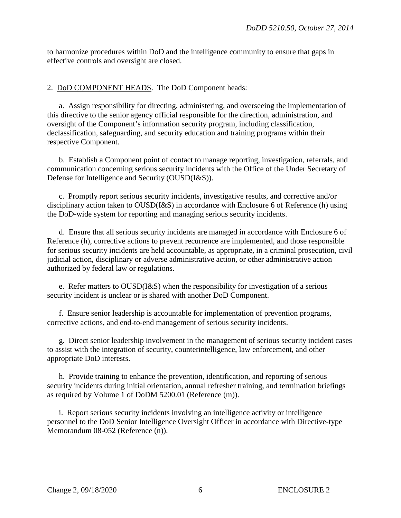to harmonize procedures within DoD and the intelligence community to ensure that gaps in effective controls and oversight are closed.

# 2. DoD COMPONENT HEADS. The DoD Component heads:

a. Assign responsibility for directing, administering, and overseeing the implementation of this directive to the senior agency official responsible for the direction, administration, and oversight of the Component's information security program, including classification, declassification, safeguarding, and security education and training programs within their respective Component.

b. Establish a Component point of contact to manage reporting, investigation, referrals, and communication concerning serious security incidents with the Office of the Under Secretary of Defense for Intelligence and Security (OUSD(I&S)).

c. Promptly report serious security incidents, investigative results, and corrective and/or disciplinary action taken to OUSD(I&S) in accordance with Enclosure 6 of Reference (h) using the DoD-wide system for reporting and managing serious security incidents.

d. Ensure that all serious security incidents are managed in accordance with Enclosure 6 of Reference (h), corrective actions to prevent recurrence are implemented, and those responsible for serious security incidents are held accountable, as appropriate, in a criminal prosecution, civil judicial action, disciplinary or adverse administrative action, or other administrative action authorized by federal law or regulations.

e. Refer matters to OUSD(I&S) when the responsibility for investigation of a serious security incident is unclear or is shared with another DoD Component.

f. Ensure senior leadership is accountable for implementation of prevention programs, corrective actions, and end-to-end management of serious security incidents.

g. Direct senior leadership involvement in the management of serious security incident cases to assist with the integration of security, counterintelligence, law enforcement, and other appropriate DoD interests.

h. Provide training to enhance the prevention, identification, and reporting of serious security incidents during initial orientation, annual refresher training, and termination briefings as required by Volume 1 of DoDM 5200.01 (Reference (m)).

i. Report serious security incidents involving an intelligence activity or intelligence personnel to the DoD Senior Intelligence Oversight Officer in accordance with Directive-type Memorandum 08-052 (Reference (n)).